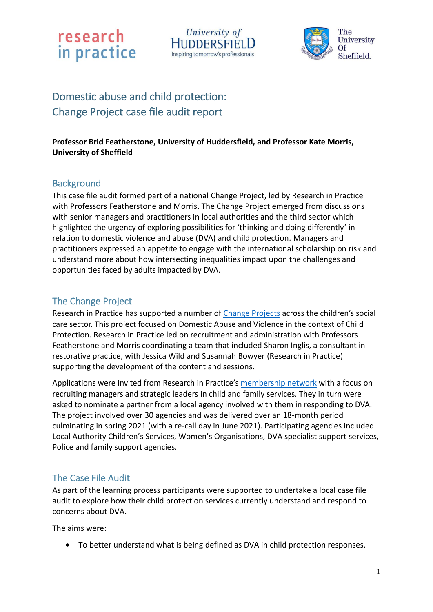



## Domestic abuse and child protection: Change Project case file audit report

#### **Professor Brid Featherstone, University of Huddersfield, and Professor Kate Morris, University of Sheffield**

### **Background**

This case file audit formed part of a national Change Project, led by Research in Practice with Professors Featherstone and Morris. The Change Project emerged from discussions with senior managers and practitioners in local authorities and the third sector which highlighted the urgency of exploring possibilities for 'thinking and doing differently' in relation to domestic violence and abuse (DVA) and child protection. Managers and practitioners expressed an appetite to engage with the international scholarship on risk and understand more about how intersecting inequalities impact upon the challenges and opportunities faced by adults impacted by DVA.

### The Change Project

Research in Practice has supported a number of [Change Projects](https://www.researchinpractice.org.uk/all/content-pages/change-projects/) across the children's social care sector. This project focused on Domestic Abuse and Violence in the context of Child Protection. Research in Practice led on recruitment and administration with Professors Featherstone and Morris coordinating a team that included Sharon Inglis, a consultant in restorative practice, with Jessica Wild and Susannah Bowyer (Research in Practice) supporting the development of the content and sessions.

Applications were invited from Research in Practice's [membership](https://www.researchinpractice.org.uk/all/content-pages/about-us/research-in-practice-partner-network/) network with a focus on recruiting managers and strategic leaders in child and family services. They in turn were asked to nominate a partner from a local agency involved with them in responding to DVA. The project involved over 30 agencies and was delivered over an 18-month period culminating in spring 2021 (with a re-call day in June 2021). Participating agencies included Local Authority Children's Services, Women's Organisations, DVA specialist support services, Police and family support agencies.

### The Case File Audit

As part of the learning process participants were supported to undertake a local case file audit to explore how their child protection services currently understand and respond to concerns about DVA.

The aims were:

• To better understand what is being defined as DVA in child protection responses.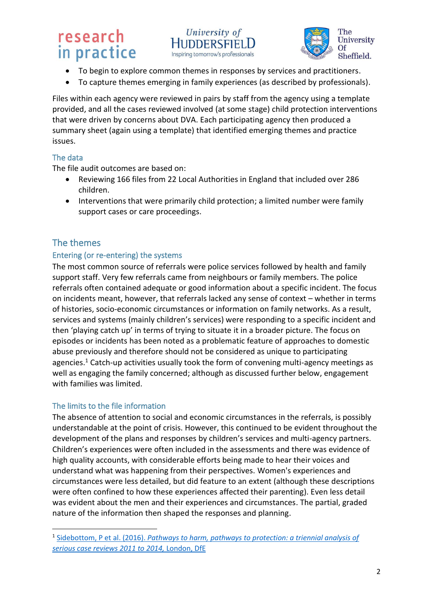



- To begin to explore common themes in responses by services and practitioners.
- To capture themes emerging in family experiences (as described by professionals).

Files within each agency were reviewed in pairs by staff from the agency using a template provided, and all the cases reviewed involved (at some stage) child protection interventions that were driven by concerns about DVA. Each participating agency then produced a summary sheet (again using a template) that identified emerging themes and practice issues.

### The data

The file audit outcomes are based on:

- Reviewing 166 files from 22 Local Authorities in England that included over 286 children.
- Interventions that were primarily child protection; a limited number were family support cases or care proceedings.

## The themes

#### Entering (or re-entering) the systems

The most common source of referrals were police services followed by health and family support staff. Very few referrals came from neighbours or family members. The police referrals often contained adequate or good information about a specific incident. The focus on incidents meant, however, that referrals lacked any sense of context – whether in terms of histories, socio-economic circumstances or information on family networks. As a result, services and systems (mainly children's services) were responding to a specific incident and then 'playing catch up' in terms of trying to situate it in a broader picture. The focus on episodes or incidents has been noted as a problematic feature of approaches to domestic abuse previously and therefore should not be considered as unique to participating agencies. <sup>1</sup> Catch-up activities usually took the form of convening multi-agency meetings as well as engaging the family concerned; although as discussed further below, engagement with families was limited.

#### The limits to the file information

The absence of attention to social and economic circumstances in the referrals, is possibly understandable at the point of crisis. However, this continued to be evident throughout the development of the plans and responses by children's services and multi-agency partners. Children's experiences were often included in the assessments and there was evidence of high quality accounts, with considerable efforts being made to hear their voices and understand what was happening from their perspectives. Women's experiences and circumstances were less detailed, but did feature to an extent (although these descriptions were often confined to how these experiences affected their parenting). Even less detail was evident about the men and their experiences and circumstances. The partial, graded nature of the information then shaped the responses and planning.

<sup>1</sup> Sidebottom, P et al. (2016). *[Pathways to harm, pathways to protection: a triennial analysis of](https://assets.publishing.service.gov.uk/government/uploads/system/uploads/attachment_data/file/533826/Triennial_Analysis_of_SCRs_2011-2014_-__Pathways_to_harm_and_protection.pdf)  [serious case reviews 2011 to 2014,](https://assets.publishing.service.gov.uk/government/uploads/system/uploads/attachment_data/file/533826/Triennial_Analysis_of_SCRs_2011-2014_-__Pathways_to_harm_and_protection.pdf)* London, DfE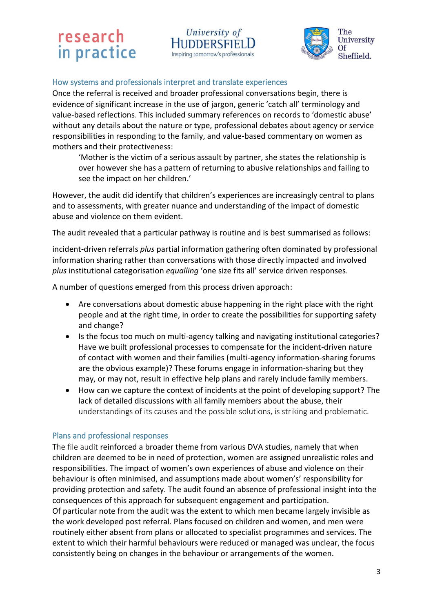

#### How systems and professionals interpret and translate experiences

Once the referral is received and broader professional conversations begin, there is evidence of significant increase in the use of jargon, generic 'catch all' terminology and value-based reflections. This included summary references on records to 'domestic abuse' without any details about the nature or type, professional debates about agency or service responsibilities in responding to the family, and value-based commentary on women as mothers and their protectiveness:

University of

**HUDDERSFIELL** 

Inspiring tomorrow's professionals

'Mother is the victim of a serious assault by partner, she states the relationship is over however she has a pattern of returning to abusive relationships and failing to see the impact on her children.'

However, the audit did identify that children's experiences are increasingly central to plans and to assessments, with greater nuance and understanding of the impact of domestic abuse and violence on them evident.

The audit revealed that a particular pathway is routine and is best summarised as follows:

incident-driven referrals *plus* partial information gathering often dominated by professional information sharing rather than conversations with those directly impacted and involved *plus* institutional categorisation *equalling* 'one size fits all' service driven responses.

A number of questions emerged from this process driven approach:

- Are conversations about domestic abuse happening in the right place with the right people and at the right time, in order to create the possibilities for supporting safety and change?
- Is the focus too much on multi-agency talking and navigating institutional categories? Have we built professional processes to compensate for the incident-driven nature of contact with women and their families (multi-agency information-sharing forums are the obvious example)? These forums engage in information-sharing but they may, or may not, result in effective help plans and rarely include family members.
- How can we capture the context of incidents at the point of developing support? The lack of detailed discussions with all family members about the abuse, their understandings of its causes and the possible solutions, is striking and problematic.

#### Plans and professional responses

The file audit reinforced a broader theme from various DVA studies, namely that when children are deemed to be in need of protection, women are assigned unrealistic roles and responsibilities. The impact of women's own experiences of abuse and violence on their behaviour is often minimised, and assumptions made about women's' responsibility for providing protection and safety. The audit found an absence of professional insight into the consequences of this approach for subsequent engagement and participation. Of particular note from the audit was the extent to which men became largely invisible as the work developed post referral. Plans focused on children and women, and men were routinely either absent from plans or allocated to specialist programmes and services. The extent to which their harmful behaviours were reduced or managed was unclear, the focus consistently being on changes in the behaviour or arrangements of the women.